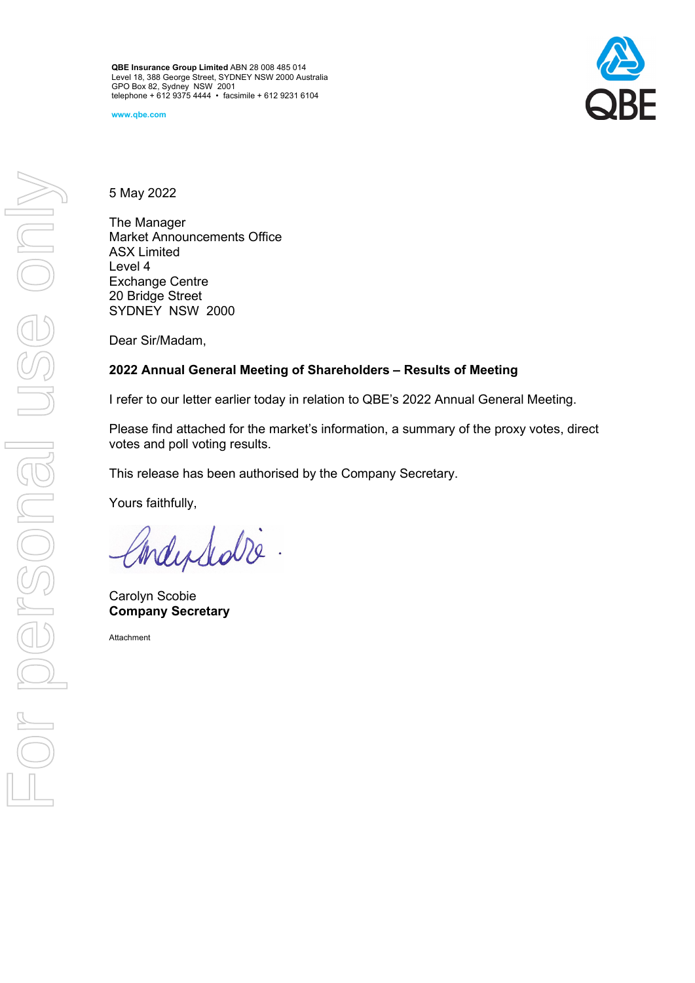**QBE Insurance Group Limited** ABN 28 008 485 014 Level 18, 388 George Street, SYDNEY NSW 2000 Australia GPO Box 82, Sydney NSW 2001 telephone + 612 9375 4444 • facsimile + 612 9231 6104

**www.qbe.com**



5 May 2022

The Manager Market Announcements Office ASX Limited Level 4 Exchange Centre 20 Bridge Street SYDNEY NSW 2000

Dear Sir/Madam,

## **2022 Annual General Meeting of Shareholders – Results of Meeting**

I refer to our letter earlier today in relation to QBE's 2022 Annual General Meeting.

Please find attached for the market's information, a summary of the proxy votes, direct votes and poll voting results.

This release has been authorised by the Company Secretary.

Yours faithfully,

Independence

Carolyn Scobie **Company Secretary**

Attachment